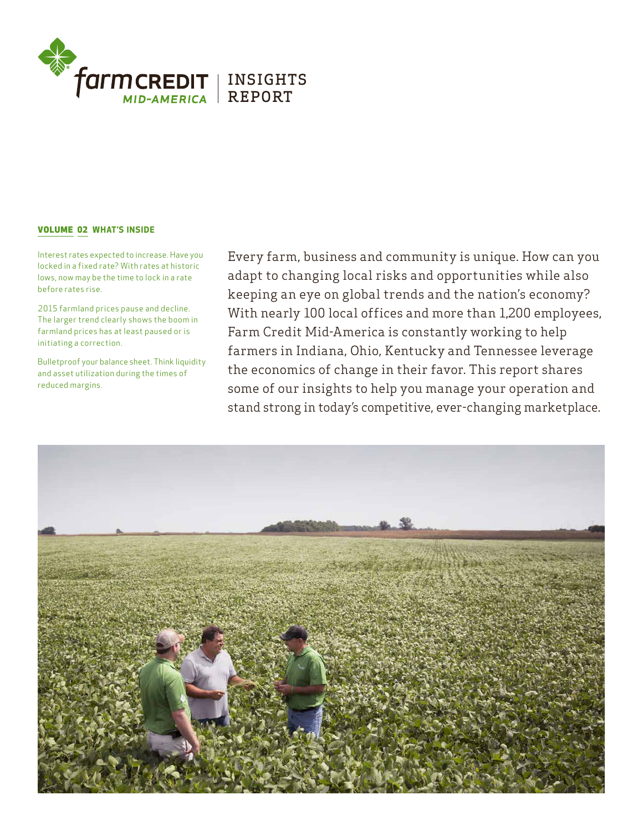

# VOLUME 02 WHAT'S INSIDE

Interest rates expected to increase. Have you locked in a fixed rate? With rates at historic lows, now may be the time to lock in a rate before rates rise.

2015 farmland prices pause and decline. The larger trend clearly shows the boom in farmland prices has at least paused or is initiating a correction.

Bulletproof your balance sheet. Think liquidity and asset utilization during the times of reduced margins.

Every farm, business and community is unique. How can you adapt to changing local risks and opportunities while also keeping an eye on global trends and the nation's economy? With nearly 100 local offices and more than 1,200 employees, Farm Credit Mid-America is constantly working to help farmers in Indiana, Ohio, Kentucky and Tennessee leverage the economics of change in their favor. This report shares some of our insights to help you manage your operation and stand strong in today's competitive, ever-changing marketplace.

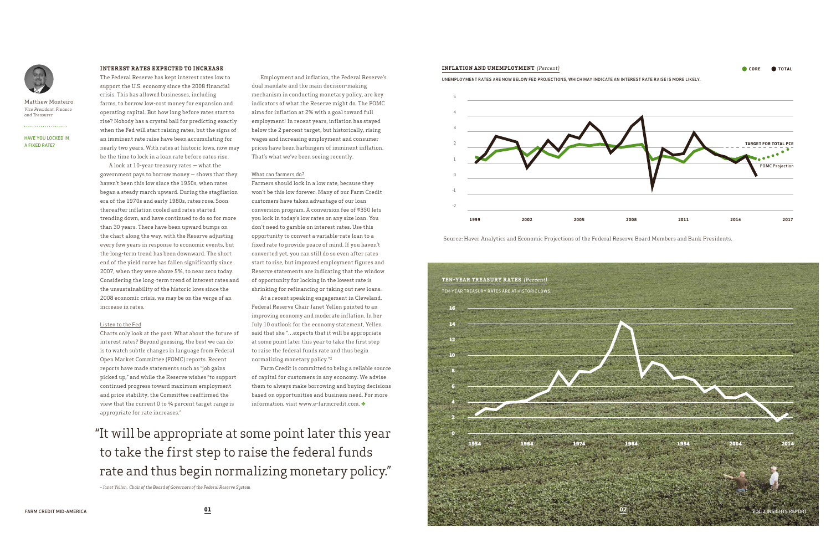HAVE YOU LOCKED IN A FIXED RATE?

. . . . . . . . . . . . . . . . . . . .



Matthew Monteiro *Vice President, Finance and Treasurer*

# **INTEREST RATES EXPECTED TO INCREASE**

The Federal Reserve has kept interest rates low to support the U.S. economy since the 2008 financial crisis. This has allowed businesses, including farms, to borrow low-cost money for expansion and operating capital. But how long before rates start to rise? Nobody has a crystal ball for predicting exactly when the Fed will start raising rates, but the signs of an imminent rate raise have been accumulating for nearly two years. With rates at historic lows, now may be the time to lock in a loan rate before rates rise.

A look at 10-year treasury rates — what the government pays to borrow money — shows that they haven't been this low since the 1950s, when rates began a steady march upward. During the stagflation era of the 1970s and early 1980s, rates rose. Soon thereafter inflation cooled and rates started trending down, and have continued to do so for more than 30 years. There have been upward bumps on the chart along the way, with the Reserve adjusting every few years in response to economic events, but the long-term trend has been downward. The short end of the yield curve has fallen significantly since 2007, when they were above 5%, to near zero today. Considering the long-term trend of interest rates and the unsustainability of the historic lows since the 2008 economic crisis, we may be on the verge of an increase in rates.

# Listen to the Fed

Charts only look at the past. What about the future of interest rates? Beyond guessing, the best we can do is to watch subtle changes in language from Federal Open Market Committee (FOMC) reports. Recent reports have made statements such as "job gains picked up," and while the Reserve wishes "to support continued progress toward maximum employment and price stability, the Committee reaffirmed the view that the current 0 to ¼ percent target range is appropriate for rate increases."

Employment and inflation, the Federal Reserve's

dual mandate and the main decision-making mechanism in conducting monetary policy, are key indicators of what the Reserve might do. The FOMC aims for inflation at 2% with a goal toward full employment<sup>1</sup>. In recent years, inflation has stayed below the 2 percent target, but historically, rising wages and increasing employment and consumer prices have been harbingers of imminent inflation. That's what we've been seeing recently.

# What can farmers do?

Farmers should lock in a low rate, because they won't be this low forever. Many of our Farm Credit customers have taken advantage of our loan conversion program. A conversion fee of \$350 lets you lock in today's low rates on any size loan. You don't need to gamble on interest rates. Use this opportunity to convert a variable-rate loan to a fixed rate to provide peace of mind. If you haven't converted yet, you can still do so even after rates start to rise, but improved employment figures and Reserve statements are indicating that the window of opportunity for locking in the lowest rate is shrinking for refinancing or taking out new loans.

At a recent speaking engagement in Cleveland, Federal Reserve Chair Janet Yellen pointed to an improving economy and moderate inflation. In her July 10 outlook for the economy statement, Yellen said that she "…expects that it will be appropriate at some point later this year to take the first step to raise the federal funds rate and thus begin normalizing monetary policy."2

Farm Credit is committed to being a reliable source of capital for customers in any economy. We advise them to always make borrowing and buying decisions based on opportunities and business need. For more information, visit www.e-farmcredit.com.

# "It will be appropriate at some point later this year to take the first step to raise the federal funds rate and thus begin normalizing monetary policy."

*– Janet Yellen, Chair of the Board of Governors of the Federal Reserve System*

Source: Haver Analytics and Economic Projections of the Federal Reserve Board Members and Bank Presidents.



CORE TOTAL



UNEMPLOYMENT R ATES ARE NOW BELOW FED PROJECTIONS, WHICH MAY INDICATE AN INTEREST R ATE R AISE IS MORE LIKELY.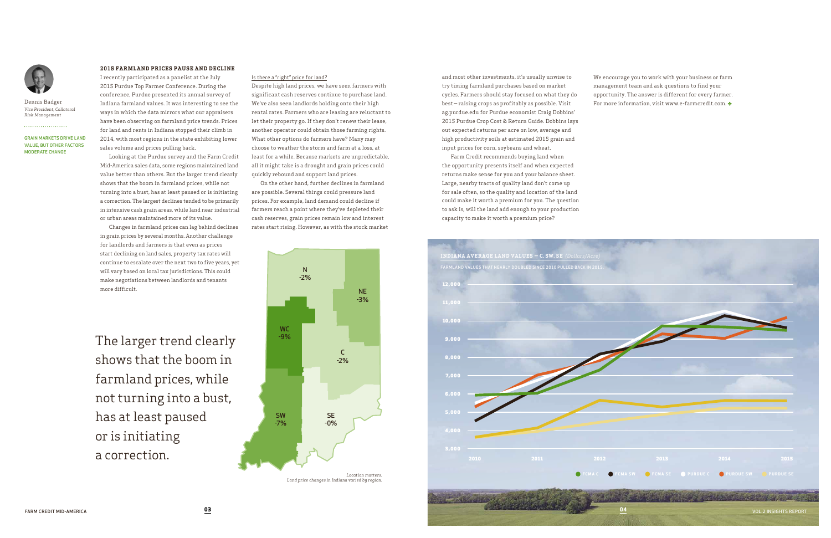# **2015 FARMLAND PRICES PAUSE AND DECLINE**

I recently participated as a panelist at the July 2015 Purdue Top Farmer Conference. During the conference, Purdue presented its annual survey of Indiana farmland values. It was interesting to see the ways in which the data mirrors what our appraisers have been observing on farmland price trends. Prices for land and rents in Indiana stopped their climb in 2014, with most regions in the state exhibiting lower sales volume and prices pulling back.

Looking at the Purdue survey and the Farm Credit Mid-America sales data, some regions maintained land value better than others. But the larger trend clearly shows that the boom in farmland prices, while not turning into a bust, has at least paused or is initiating a correction. The largest declines tended to be primarily in intensive cash grain areas, while land near industrial or urban areas maintained more of its value.

Changes in farmland prices can lag behind declines in grain prices by several months. Another challenge for landlords and farmers is that even as prices start declining on land sales, property tax rates will continue to escalate over the next two to five years, yet will vary based on local tax jurisdictions. This could make negotiations between landlords and tenants more difficult.

and most other investments, it's usually unwise to try timing farmland purchases based on market cycles. Farmers should stay focused on what they do best— raising crops as profitably as possible. Visit ag.purdue.edu for Purdue economist Craig Dobbins' 2015 Purdue Crop Cost & Return Guide. Dobbins lays out expected returns per acre on low, average and high productivity soils at estimated 2015 grain and input prices for corn, soybeans and wheat.

Farm Credit recommends buying land when the opportunity presents itself and when expected returns make sense for you and your balance sheet. Large, nearby tracts of quality land don't come up for sale often, so the quality and location of the land could make it worth a premium for you. The question to ask is, will the land add enough to your production capacity to make it worth a premium price?

#### Is there a "right" price for land?

Despite high land prices, we have seen farmers with significant cash reserves continue to purchase land. We've also seen landlords holding onto their high rental rates. Farmers who are leasing are reluctant to let their property go. If they don't renew their lease, another operator could obtain those farming rights. What other options do farmers have? Many may choose to weather the storm and farm at a loss, at least for a while. Because markets are unpredictable, all it might take is a drought and grain prices could quickly rebound and support land prices.

On the other hand, further declines in farmland are possible. Several things could pressure land prices. For example, land demand could decline if farmers reach a point where they've depleted their cash reserves, grain prices remain low and interest rates start rising. However, as with the stock market We encourage you to work with your business or farm management team and ask questions to find your opportunity. The answer is different for every farmer. For more information, visit www.e-farmcredit.com.

GRAIN MARKETS DRIVE LAND VALUE, BUT OTHER FACTORS MODERATE CHANGE



Dennis Badger *Vice President, Collateral Risk Management*



*Location matters. Land price changes in Indiana varied by region.*

The larger trend clearly shows that the boom in farmland prices, while not turning into a bust, has at least paused or is initiating a correction.

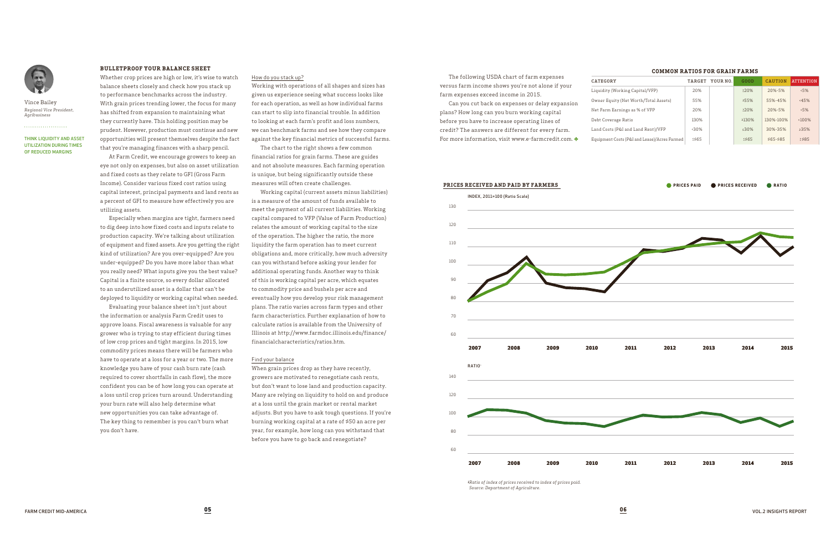THINK LIQUIDITY AND ASSET UTILIZATION DURING TIMES OF REDUCED MARGINS



Vince Bailey *Regional Vice President, Agribusiness*

. . . . . . . . . . . . . . . . . . . .

### **BULLETPROOF YOUR BALANCE SHEET**

Whether crop prices are high or low, it's wise to watch balance sheets closely and check how you stack up to performance benchmarks across the industry. With grain prices trending lower, the focus for many has shifted from expansion to maintaining what they currently have. This holding position may be prudent. However, production must continue and new opportunities will present themselves despite the fact that you're managing finances with a sharp pencil.

At Farm Credit, we encourage growers to keep an eye not only on expenses, but also on asset utilization and fixed costs as they relate to GFI (Gross Farm Income). Consider various fixed cost ratios using capital interest, principal payments and land rents as a percent of GFI to measure how effectively you are utilizing assets.

Especially when margins are tight, farmers need to dig deep into how fixed costs and inputs relate to production capacity. We're talking about utilization of equipment and fixed assets. Are you getting the right kind of utilization? Are you over-equipped? Are you under-equipped? Do you have more labor than what you really need? What inputs give you the best value? Capital is a finite source, so every dollar allocated to an underutilized asset is a dollar that can't be deployed to liquidity or working capital when needed.

Evaluating your balance sheet isn't just about the information or analysis Farm Credit uses to approve loans. Fiscal awareness is valuable for any grower who is trying to stay efficient during times of low crop prices and tight margins. In 2015, low commodity prices means there will be farmers who have to operate at a loss for a year or two. The more knowledge you have of your cash burn rate (cash required to cover shortfalls in cash flow), the more confident you can be of how long you can operate at a loss until crop prices turn around. Understanding your burn rate will also help determine what new opportunities you can take advantage of. The key thing to remember is you can't burn what you don't have.

#### How do you stack up?



*1Ratio of index of prices received to index of prices paid. Source: Department of Agriculture.*

Working with operations of all shapes and sizes has given us experience seeing what success looks like for each operation, as well as how individual farms can start to slip into financial trouble. In addition to looking at each farm's profit and loss numbers, we can benchmark farms and see how they compare against the key financial metrics of successful farms.

The chart to the right shows a few common financial ratios for grain farms. These are guides and not absolute measures. Each farming operation is unique, but being significantly outside these measures will often create challenges.

Working capital (current assets minus liabilities) is a measure of the amount of funds available to meet the payment of all current liabilities. Working capital compared to VFP (Value of Farm Production) relates the amount of working capital to the size of the operation. The higher the ratio, the more liquidity the farm operation has to meet current obligations and, more critically, how much adversity can you withstand before asking your lender for additional operating funds. Another way to think of this is working capital per acre, which equates to commodity price and bushels per acre and eventually how you develop your risk management plans. The ratio varies across farm types and other farm characteristics. Further explanation of how to calculate ratios is available from the University of Illinois at http://www.farmdoc.illinois.edu/finance/ financialcharacteristics/ratios.htm.

#### Find your balance

When grain prices drop as they have recently, growers are motivated to renegotiate cash rents, but don't want to lose land and production capacity. Many are relying on liquidity to hold on and produce at a loss until the grain market or rental market adjusts. But you have to ask tough questions. If you're burning working capital at a rate of \$50 an acre per year, for example, how long can you withstand that before you have to go back and renegotiate?

The following USDA chart of farm expenses versus farm income shows you're not alone if your farm expenses exceed income in 2015.

Can you cut back on expenses or delay expansion plans? How long can you burn working capital before you have to increase operating lines of credit? The answers are different for every farm. For more information, visit www.e-farmcredit.com.

**PRICES RECEIVED AND PAID BY FARMERS** 

# **COMMON RATIOS FOR GRAIN FARMS**

| CATEGORY                                     | TARGET | YOUR NO. | GOOD  | <b>CAUTION</b> | <b>ATTENTION</b> |
|----------------------------------------------|--------|----------|-------|----------------|------------------|
| Liquidity (Working Capital/VFP)              | 20%    |          | 220%  | $20% - 5%$     | $5\%$            |
| Owner Equity (Net Worth/Total Assets)        | 55%    |          | 255%  | 55%-45%        | 45%              |
| Net Farm Earnings as % of VFP                | 20%    |          | 220%  | $20% - 5%$     | $5\%$            |
| Debt Coverage Ratio                          | 130%   |          | 2130% | 130%-100%      | $100\%$          |
| Land Costs (P&I and Land Rent)/VFP           | 30%    |          | ≤30%  | 30%-35%        | 235%             |
| Equipment Costs (P&I and Lease)/Acres Farmed | \$565  |          | \$565 | $$65-585$      | 2585             |

**PRICES PAID PRICES RECEIVED CORATIO**